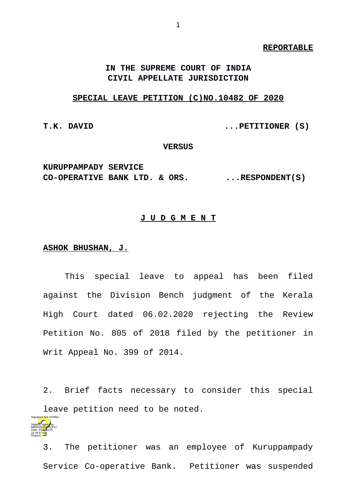#### **REPORTABLE**

## **IN THE SUPREME COURT OF INDIA CIVIL APPELLATE JURISDICTION**

### **SPECIAL LEAVE PETITION (C)NO.10482 OF 2020**

**T.K. DAVID ...PETITIONER (S)**

**VERSUS**

**KURUPPAMPADY SERVICE**  CO-OPERATIVE BANK LTD. & ORS. ...RESPONDENT(S)

### **J U D G M E N T**

### **ASHOK BHUSHAN, J.**

This special leave to appeal has been filed against the Division Bench judgment of the Kerala High Court dated 06.02.2020 rejecting the Review Petition No. 805 of 2018 filed by the petitioner in Writ Appeal No. 399 of 2014.

2. Brief facts necessary to consider this special leave petition need to be noted.

Digitally signed by MEENAK<mark>SH</mark>/KOHLI Date: 2020.10.05 16:29:07 IST Reason: Signature Not Verified

3. The petitioner was an employee of Kuruppampady Service Co-operative Bank. Petitioner was suspended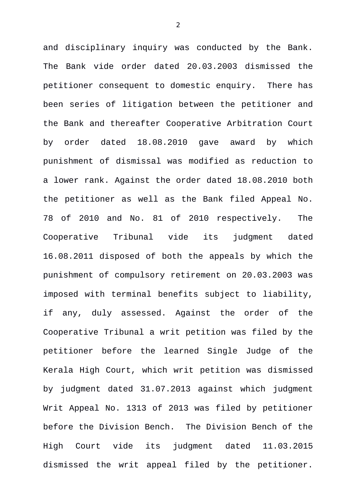and disciplinary inquiry was conducted by the Bank. The Bank vide order dated 20.03.2003 dismissed the petitioner consequent to domestic enquiry. There has been series of litigation between the petitioner and the Bank and thereafter Cooperative Arbitration Court by order dated 18.08.2010 gave award by which punishment of dismissal was modified as reduction to a lower rank. Against the order dated 18.08.2010 both the petitioner as well as the Bank filed Appeal No. 78 of 2010 and No. 81 of 2010 respectively. The Cooperative Tribunal vide its judgment dated 16.08.2011 disposed of both the appeals by which the punishment of compulsory retirement on 20.03.2003 was imposed with terminal benefits subject to liability, if any, duly assessed. Against the order of the Cooperative Tribunal a writ petition was filed by the petitioner before the learned Single Judge of the Kerala High Court, which writ petition was dismissed by judgment dated 31.07.2013 against which judgment Writ Appeal No. 1313 of 2013 was filed by petitioner before the Division Bench. The Division Bench of the High Court vide its judgment dated 11.03.2015 dismissed the writ appeal filed by the petitioner.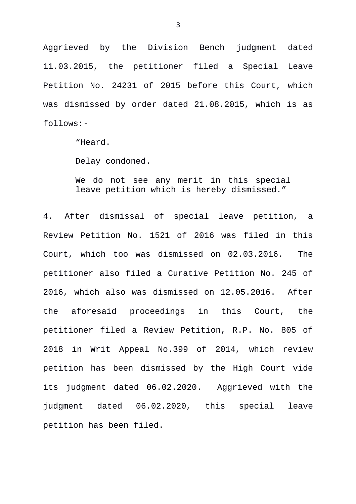Aggrieved by the Division Bench judgment dated 11.03.2015, the petitioner filed a Special Leave Petition No. 24231 of 2015 before this Court, which was dismissed by order dated 21.08.2015, which is as follows:-

"Heard.

Delay condoned.

We do not see any merit in this special leave petition which is hereby dismissed."

4. After dismissal of special leave petition, a Review Petition No. 1521 of 2016 was filed in this Court, which too was dismissed on 02.03.2016. The petitioner also filed a Curative Petition No. 245 of 2016, which also was dismissed on 12.05.2016. After the aforesaid proceedings in this Court, the petitioner filed a Review Petition, R.P. No. 805 of 2018 in Writ Appeal No.399 of 2014, which review petition has been dismissed by the High Court vide its judgment dated 06.02.2020. Aggrieved with the judgment dated 06.02.2020, this special leave petition has been filed.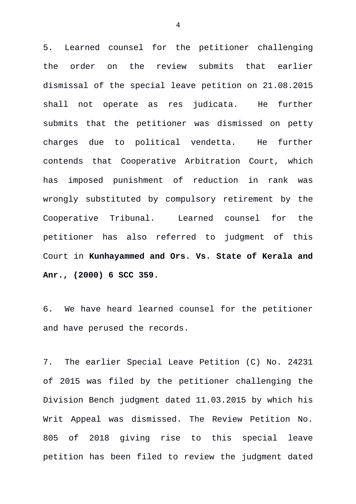5. Learned counsel for the petitioner challenging the order on the review submits that earlier dismissal of the special leave petition on 21.08.2015 shall not operate as res judicata. He further submits that the petitioner was dismissed on petty charges due to political vendetta. He further contends that Cooperative Arbitration Court, which has imposed punishment of reduction in rank was wrongly substituted by compulsory retirement by the Cooperative Tribunal. Learned counsel for the petitioner has also referred to judgment of this Court in **Kunhayammed and Ors. Vs. State of Kerala and Anr., (2000) 6 SCC 359.**

6. We have heard learned counsel for the petitioner and have perused the records.

7. The earlier Special Leave Petition (C) No. 24231 of 2015 was filed by the petitioner challenging the Division Bench judgment dated 11.03.2015 by which his Writ Appeal was dismissed. The Review Petition No. 805 of 2018 giving rise to this special leave petition has been filed to review the judgment dated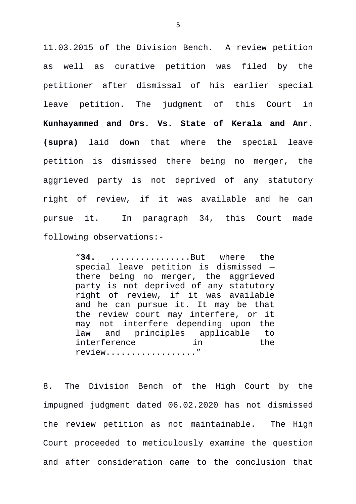11.03.2015 of the Division Bench. A review petition as well as curative petition was filed by the petitioner after dismissal of his earlier special leave petition. The judgment of this Court in **Kunhayammed and Ors. Vs. State of Kerala and Anr. (supra)** laid down that where the special leave petition is dismissed there being no merger, the aggrieved party is not deprived of any statutory right of review, if it was available and he can pursue it. In paragraph 34, this Court made following observations:-

> "**34.** ................But where the special leave petition is dismissed there being no merger, the aggrieved party is not deprived of any statutory right of review, if it was available and he can pursue it. It may be that the review court may interfere, or it may not interfere depending upon the law and principles applicable to interference in the review.................."

8. The Division Bench of the High Court by the impugned judgment dated 06.02.2020 has not dismissed the review petition as not maintainable. The High Court proceeded to meticulously examine the question and after consideration came to the conclusion that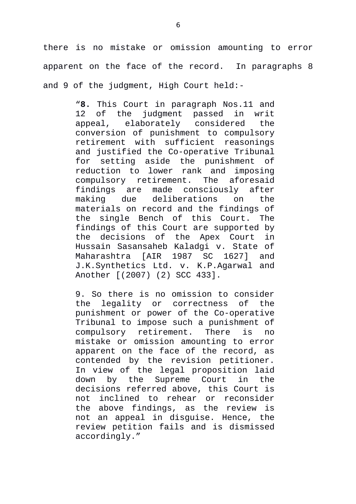there is no mistake or omission amounting to error apparent on the face of the record. In paragraphs 8 and 9 of the judgment, High Court held:-

> "**8.** This Court in paragraph Nos.11 and 12 of the judgment passed in writ appeal, elaborately considered the conversion of punishment to compulsory retirement with sufficient reasonings and justified the Co-operative Tribunal for setting aside the punishment of reduction to lower rank and imposing compulsory retirement. The aforesaid findings are made consciously after making due deliberations on the materials on record and the findings of the single Bench of this Court. The findings of this Court are supported by the decisions of the Apex Court in Hussain Sasansaheb Kaladgi v. State of Maharashtra [AIR 1987 SC 1627] and J.K.Synthetics Ltd. v. K.P.Agarwal and Another [(2007) (2) SCC 433].

> 9. So there is no omission to consider the legality or correctness of the punishment or power of the Co-operative Tribunal to impose such a punishment of compulsory retirement. There is no mistake or omission amounting to error apparent on the face of the record, as contended by the revision petitioner. In view of the legal proposition laid down by the Supreme Court in the decisions referred above, this Court is not inclined to rehear or reconsider the above findings, as the review is not an appeal in disguise. Hence, the review petition fails and is dismissed accordingly."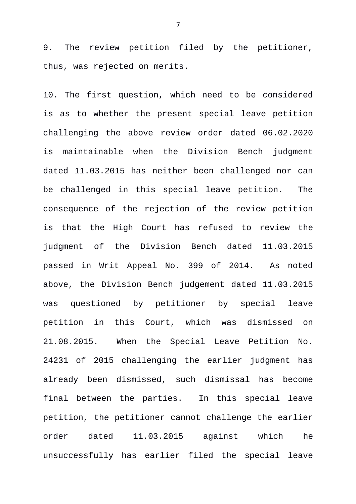9. The review petition filed by the petitioner, thus, was rejected on merits.

10. The first question, which need to be considered is as to whether the present special leave petition challenging the above review order dated 06.02.2020 is maintainable when the Division Bench judgment dated 11.03.2015 has neither been challenged nor can be challenged in this special leave petition. The consequence of the rejection of the review petition is that the High Court has refused to review the judgment of the Division Bench dated 11.03.2015 passed in Writ Appeal No. 399 of 2014. As noted above, the Division Bench judgement dated 11.03.2015 was questioned by petitioner by special leave petition in this Court, which was dismissed on 21.08.2015. When the Special Leave Petition No. 24231 of 2015 challenging the earlier judgment has already been dismissed, such dismissal has become final between the parties. In this special leave petition, the petitioner cannot challenge the earlier order dated 11.03.2015 against which he unsuccessfully has earlier filed the special leave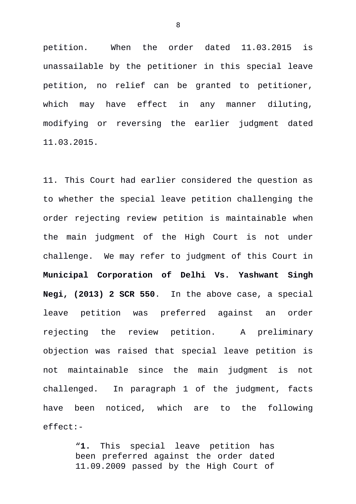petition. When the order dated 11.03.2015 is unassailable by the petitioner in this special leave petition, no relief can be granted to petitioner, which may have effect in any manner diluting, modifying or reversing the earlier judgment dated 11.03.2015.

11. This Court had earlier considered the question as to whether the special leave petition challenging the order rejecting review petition is maintainable when the main judgment of the High Court is not under challenge. We may refer to judgment of this Court in **Municipal Corporation of Delhi Vs. Yashwant Singh Negi, (2013) 2 SCR 550**. In the above case, a special leave petition was preferred against an order rejecting the review petition. A preliminary objection was raised that special leave petition is not maintainable since the main judgment is not challenged. In paragraph 1 of the judgment, facts have been noticed, which are to the following effect:-

> "**1.** This special leave petition has been preferred against the order dated 11.09.2009 passed by the High Court of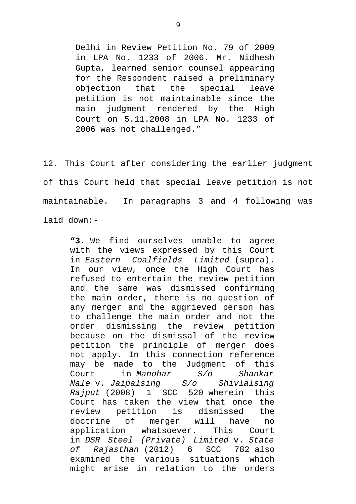Delhi in Review Petition No. 79 of 2009 in LPA No. 1233 of 2006. Mr. Nidhesh Gupta, learned senior counsel appearing for the Respondent raised a preliminary objection that the special leave petition is not maintainable since the main judgment rendered by the High Court on 5.11.2008 in LPA No. 1233 of 2006 was not challenged."

12. This Court after considering the earlier judgment of this Court held that special leave petition is not maintainable. In paragraphs 3 and 4 following was laid down:-

**"3.** We find ourselves unable to agree with the views expressed by this Court in *Eastern Coalfields Limited* (supra). In our view, once the High Court has refused to entertain the review petition and the same was dismissed confirming the main order, there is no question of any merger and the aggrieved person has to challenge the main order and not the order dismissing the review petition because on the dismissal of the review petition the principle of merger does not apply. In this connection reference may be made to the Judgment of this Court in *Manohar S/o Shankar Nale* v. *Jaipalsing S/o Shivlalsing Rajput* (2008) 1 SCC 520 wherein this Court has taken the view that once the review petition is dismissed the doctrine of merger will have no application whatsoever. This Court in *DSR Steel (Private) Limited* v. *State of Rajasthan* (2012) 6 SCC 782 also examined the various situations which might arise in relation to the orders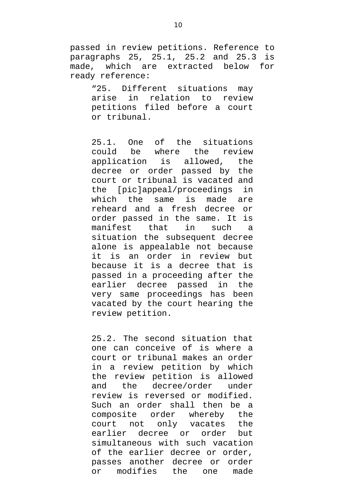passed in review petitions. Reference to paragraphs 25, 25.1, 25.2 and 25.3 is made, which are extracted below for ready reference:

> "25. Different situations may arise in relation to review petitions filed before a court or tribunal.

> 25.1. One of the situations could be where the review application is allowed, the decree or order passed by the court or tribunal is vacated and the [pic]appeal/proceedings in which the same is made are reheard and a fresh decree or order passed in the same. It is manifest that in such a situation the subsequent decree alone is appealable not because it is an order in review but because it is a decree that is passed in a proceeding after the earlier decree passed in the very same proceedings has been vacated by the court hearing the review petition.

> 25.2. The second situation that one can conceive of is where a court or tribunal makes an order in a review petition by which the review petition is allowed and the decree/order under review is reversed or modified. Such an order shall then be a composite order whereby the court not only vacates the earlier decree or order but simultaneous with such vacation of the earlier decree or order, passes another decree or order or modifies the one made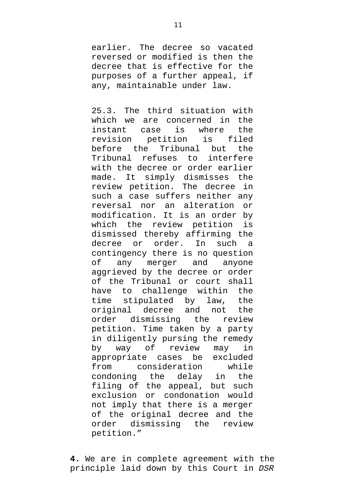earlier. The decree so vacated reversed or modified is then the decree that is effective for the purposes of a further appeal, if any, maintainable under law.

25.3. The third situation with which we are concerned in the instant case is where the revision petition is filed before the Tribunal but the Tribunal refuses to interfere with the decree or order earlier made. It simply dismisses the review petition. The decree in such a case suffers neither any reversal nor an alteration or modification. It is an order by which the review petition is dismissed thereby affirming the decree or order. In such a contingency there is no question of any merger and anyone aggrieved by the decree or order of the Tribunal or court shall have to challenge within the time stipulated by law, the original decree and not the order dismissing the review petition. Time taken by a party in diligently pursing the remedy by way of review may in appropriate cases be excluded from consideration while condoning the delay in the filing of the appeal, but such exclusion or condonation would not imply that there is a merger of the original decree and the order dismissing the review petition."

**4.** We are in complete agreement with the principle laid down by this Court in *DSR*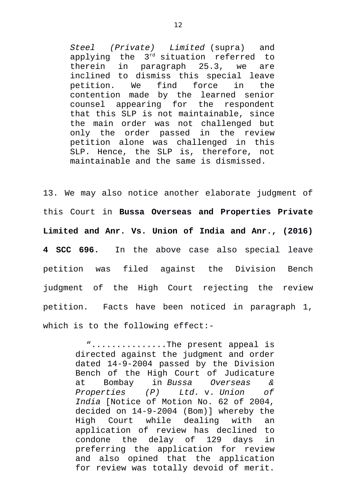*Steel (Private) Limited* (supra) and applying the 3rd situation referred to therein in paragraph 25.3, we are inclined to dismiss this special leave petition. We find force in the contention made by the learned senior counsel appearing for the respondent that this SLP is not maintainable, since the main order was not challenged but only the order passed in the review petition alone was challenged in this SLP. Hence, the SLP is, therefore, not maintainable and the same is dismissed.

13. We may also notice another elaborate judgment of this Court in **Bussa Overseas and Properties Private Limited and Anr. Vs. Union of India and Anr., (2016) 4 SCC 696.** In the above case also special leave petition was filed against the Division Bench judgment of the High Court rejecting the review petition. Facts have been noticed in paragraph 1, which is to the following effect:-

> "...............The present appeal is directed against the judgment and order dated 14-9-2004 passed by the Division Bench of the High Court of Judicature at Bombay in *Bussa Overseas & Properties (P) Ltd.* v. *Union of India* [Notice of Motion No. 62 of 2004, decided on 14-9-2004 (Bom)] whereby the High Court while dealing with an application of review has declined to condone the delay of 129 days in preferring the application for review and also opined that the application for review was totally devoid of merit.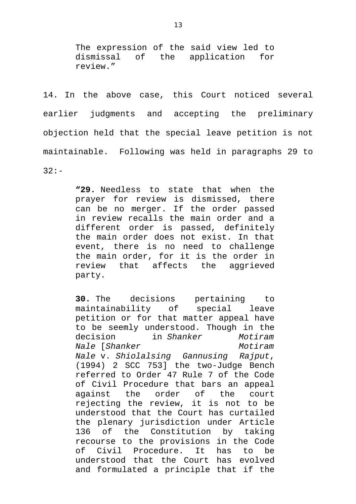The expression of the said view led to dismissal of the application for review."

14. In the above case, this Court noticed several earlier judgments and accepting the preliminary objection held that the special leave petition is not maintainable. Following was held in paragraphs 29 to 32:-

> **"29.** Needless to state that when the prayer for review is dismissed, there can be no merger. If the order passed in review recalls the main order and a different order is passed, definitely the main order does not exist. In that event, there is no need to challenge the main order, for it is the order in review that affects the aggrieved party.

> **30.** The decisions pertaining to maintainability of special leave petition or for that matter appeal have to be seemly understood. Though in the decision in *Shanker Motiram Nale* [*Shanker* Motiram *Nale* v. *Shiolalsing Gannusing Rajput*, (1994) 2 SCC 753] the two-Judge Bench referred to Order 47 Rule 7 of the Code of Civil Procedure that bars an appeal against the order of the court rejecting the review, it is not to be understood that the Court has curtailed the plenary jurisdiction under Article 136 of the Constitution by taking recourse to the provisions in the Code of Civil Procedure. It has to be understood that the Court has evolved and formulated a principle that if the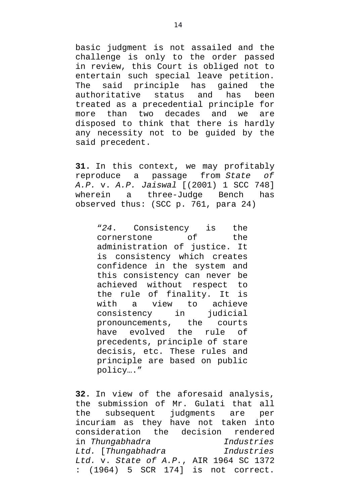basic judgment is not assailed and the challenge is only to the order passed in review, this Court is obliged not to entertain such special leave petition. The said principle has gained the authoritative status and has been treated as a precedential principle for more than two decades and we are disposed to think that there is hardly any necessity not to be guided by the said precedent.

**31.** In this context, we may profitably reproduce a passage from *State of A.P.* v. *A.P. Jaiswal* [(2001) 1 SCC 748] wherein a three-Judge Bench has observed thus: (SCC p. 761, para 24)

> "*24*. Consistency is the cornerstone of the administration of justice. It is consistency which creates confidence in the system and this consistency can never be achieved without respect to the rule of finality. It is with a view to achieve consistency in judicial pronouncements, the courts have evolved the rule of precedents, principle of stare decisis, etc. These rules and principle are based on public policy…."

**32.** In view of the aforesaid analysis, the submission of Mr. Gulati that all<br>the subsequent judgments are per the subsequent judgments are per incuriam as they have not taken into consideration the decision rendered in *Thungabhadra Industries Ltd.* [*Thungabhadra Industries Ltd.* v. *State of A.P.*, AIR 1964 SC 1372 : (1964) 5 SCR 174] is not correct.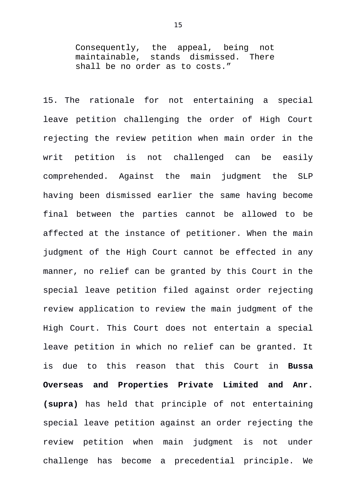Consequently, the appeal, being not<br>maintainable, stands dismissed. There stands dismissed. There shall be no order as to costs."

15. The rationale for not entertaining a special leave petition challenging the order of High Court rejecting the review petition when main order in the writ petition is not challenged can be easily comprehended. Against the main judgment the SLP having been dismissed earlier the same having become final between the parties cannot be allowed to be affected at the instance of petitioner. When the main judgment of the High Court cannot be effected in any manner, no relief can be granted by this Court in the special leave petition filed against order rejecting review application to review the main judgment of the High Court. This Court does not entertain a special leave petition in which no relief can be granted. It is due to this reason that this Court in **Bussa Overseas and Properties Private Limited and Anr. (supra)** has held that principle of not entertaining special leave petition against an order rejecting the review petition when main judgment is not under challenge has become a precedential principle. We